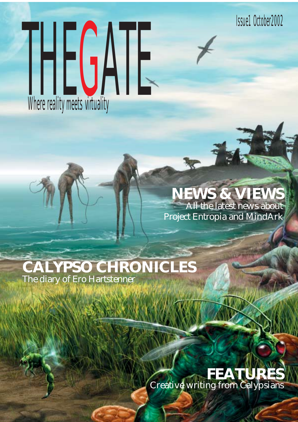Issue1 October2002

# Where reality meets virtuality

# **NEWS & VIEWS** All the latest news about Project Entropia and MindArk

# **CALYPSO CHRONICLES** The diary of Ero Hartstenner

# **FEATURES** Creative writing from Calypsians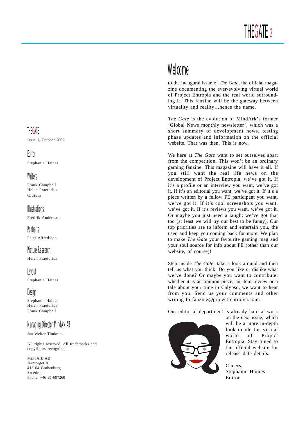# Welcome

to the inaugural issue of *The Gate*, the official magazine documenting the ever-evolving virtual world of Project Entropia and the real world surrounding it. This fanzine will be the gateway between virtuality and reality…hence the name.

*The Gate* is the evolution of MindArk's former 'Global News monthly newsletter', which was a short summary of development news, testing phase updates and information on the official website. That was then. This is now.

We here at *The Gate* want to set ourselves apart from the competition. This won't be an ordinary gaming fanzine. This magazine will have it all. If you still want the real life news on the development of Project Entropia, we've got it. If it's a profile or an interview you want, we've got it. If it's an editorial you want, we've got it. If it's a piece written by a fellow PE participant you want, we've got it. If it's cool screenshots you want, we've got it. If it's reviews you want, we've got it. Or maybe you just need a laugh; we've got that too (at least we will try our best to be funny). Our top priorities are to inform and entertain you, the user, and keep you coming back for more. We plan to make *The Gate* your favourite gaming mag and your soul source for info about PE (other than our website, of course)!

Step inside *The Gate*, take a look around and then tell us what you think. Do you like or dislike what we've done? Or maybe you want to contribute; whether it is an opinion piece, an item review or a tale about your time in Calypso, we want to hear from you. Send us your comments and other writing to fanzine@project-entropia.com.

Our editorial department is already hard at work



on the next issue, which will be a more in-depth look inside the virtual world of Project Entropia. Stay tuned to the official website for release date details.

Cheers, Stephanie Haines Editor

# **THEGATE**

Issue 1, October 2002

# Editor

Stephanie Haines

# **Writers**

Frank Campbell Helen Praetorius Cidium

# **Illustrations**

Fredrik Andersson

Portraits Peter Alfredsson

Picture Research Helen Praetorius

# Layout

Stephanie Haines

# Design

Stephanie Haines Helen Praetorius Frank Campbell

# Managing Director MindArk AB

Jan Welter Timkrans

All rights reserved. All trademarks and copyrights recognized.

MindArk AB Järntorget 8 413 04 Gothenburg Sweden Phone: +46 31-607260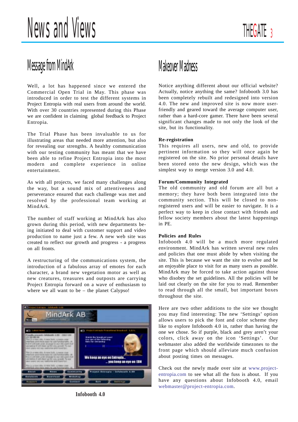# Message from MindArk

Well, a lot has happened since we entered the Commercial Open Trial in May. This phase was introduced in order to test the different systems in Project Entropia with real users from around the world. With over 30 countries represented during this Phase we are confident in claiming global feedback to Project Entropia.

The Trial Phase has been invaluable to us for illustrating areas that needed more attention, but also for revealing our strengths. A healthy communication with our testing community has meant that we have been able to refine Project Entropia into the most modern and complete experience in online entertainment.

As with all projects, we faced many challenges along the way, but a sound mix of attentiveness and perseverance ensured that each challenge was met and resolved by the professional team working at MindArk.

The number of staff working at MindArk has also grown during this period, with new departments being initiated to deal with customer support and video production to name just a few. A new web site was created to reflect our growth and progress - a progress on all fronts.

A restructuring of the communications system, the introduction of a fabulous array of emotes for each character, a brand new vegetation motor as well as new creatures, treasures and outposts are carrying Project Entropia forward on a wave of enthusiasm to where we all want to be – the planet Calypso!



**Infobooth 4.0**

# Makeover Madness

Notice anything different about our official website? Actually, notice anything the same? Infobooth 3.0 has been completely rebuilt and redesigned into version 4.0. The new and improved site is now more userfriendly and geared toward the average computer user, rather than a hard-core gamer. There have been several significant changes made to not only the look of the site, but its functionality.

# **Re-registration**

This requires all users, new and old, to provide pertinent information so they will once again be registered on the site. No prior personal details have been stored onto the new design, which was the simplest way to merge version 3.0 and 4.0.

# **Forum/Community Integrated**

The old community and old forum are all but a memory; they have both been integrated into the community section. This will be closed to nonregistered users and will be easier to navigate. It is a perfect way to keep in close contact with friends and fellow society members about the latest happenings in PE.

# **Policies and Rules**

Infobooth 4.0 will be a much more regulated environment. MindArk has written several new rules and policies that one must abide by when visiting the site. This is because we want the site to evolve and be an enjoyable place to visit for as many users as possible. MindArk may be forced to take action against those who disobey the set guidelines. All the policies will be laid out clearly on the site for you to read. Remember to read through all the small, but important boxes throughout the site.

Here are two other additions to the site we thought you may find interesting: The new 'Settings' option allows users to pick the font and color scheme they like to explore Infobooth 4.0 in, rather than having the one we chose. So if purple, black and grey aren't your colors, click away on the icon 'Settings'. Our webmaster also added the worldwide timezones to the front page which should alleviate much confusion about posting times on messages.

Check out the newly made over site at www.projectentropia.com to see what all the fuss is about. If you have any questions about Infobooth 4.0, email webmaster@project-entropia.com.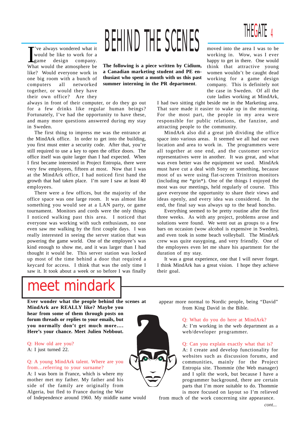T've always wondered what it<br>
would be like to work for a<br>
game design company.<br>
What would the atmosphere be 've always wondered what it would be like to work for a game design company. like? Would everyone work in one big room with a bunch of computers all networked together, or would they have their own office? Are they

always in front of their computer, or do they go out for a few drinks like regular human beings? Fortunately, I've had the opportunity to have these, and many more questions answered during my stay in Sweden.

The first thing to impress me was the entrance at the MindArk office. In order to get into the building, you first must enter a security code. After that, you're still required to use a key to open the office doors. The office itself was quite larger than I had expected. When I first became interested in Project Entropia, there were very few employees, fifteen at most. Now that I was at the MindArk office, I had noticed first hand the growth that had taken place. I'm sure I saw at least 40 employees.

There were a few offices, but the majority of the office space was one large room. It was almost like something you would see at a LAN party, or game tournament. Monitors and cords were the only things I noticed walking past this area. I noticed that everyone was working with such enthusiasm, no one even saw me walking by the first couple days. I was really interested in seeing the server station that was powering the game world. One of the employee's was kind enough to show me, and it was larger than I had thought it would be. This server station was locked up most of the time behind a door that required a keycard for access. I think that was the only time I saw it. It took about a week or so before I was finally

# BEHIND THE SCENES

**The following is a piece written by Cidium, a Canadian marketing student and PE enthusiast who spent a month with us this past summer interning in the PR department**.

moved into the area I was to be working in. Wow, was I ever happy to get in there. One would think that attractive young women wouldn't be caught dead working for a game design company. This is definitely not the case in Sweden. Of all the cute ladies working at MindArk,

4

THEGATE

I had two sitting right beside me in the Marketing area. That sure made it easier to wake up in the morning. For the most part, the people in my area were responsible for public relations, the fanzine, and attracting people to the community.

MindArk also did a great job dividing the office space into various areas. It seemed we all had our own location and area to work in. The programmers were all together at one end, and the customer service representatives were in another. It was great, and what was even better was the equipment we used. MindArk must have cut a deal with Sony or something, because most of us were using flat-screen Trinitron monitors (including me \*grin\*). One of the things I enjoyed the most was our meetings, held regularly of course. This gave everyone the opportunity to share their views and ideas openly, and every idea was considered. In the end, the final say was always up to the head honcho.

Everything seemed to be pretty routine after the first three weeks. As with any project, problems arose and solutions were found. We went out as groups to a few bars on occasion (wow alcohol is expensive in Sweden), and even took in some beach volleyball. The MindArk crew was quite easygoing, and very friendly. One of the employees even let me share his apartment for the duration of my stay.

It was a great experience, one that I will never forget. I think MindArk has a great vision. I hope they achieve their goal.

# meet mindark

**Ever wonder what the people behind the scenes at MindArk are REALLY like? Maybe you hear from some of them through posts on forum threads or replies to your emails, but you normally don't get much more…. Here's your chance. Meet Julien Nebbout.**

### Q: How old are you? A: I just turned 22.

Q: A young MindArk talent. Where are you from…referring to your surname?

A: I was born in France, which is where my mother met my father. My father and his side of the family are originally from Algeria, but fled to France during the War

of Independence around 1960. My middle name would

appear more normal to Nordic people, being "David" from King David in the Bible.

# Q: What do you do here at MindArk?

A: I'm working in the web department as a web/developer programmer.

# Q: Can you explain exactly what that is?

A: I create and develop functionality for websites such as discussion forums, and communities, mainly for the Project Entropia site. Thommie (the Web manager) and I split the work, but because I have a programmer background, there are certain parts that I'm more suitable to do. Thommie is more focused on layout so I'm relieved

from much of the work concerning site appearance.

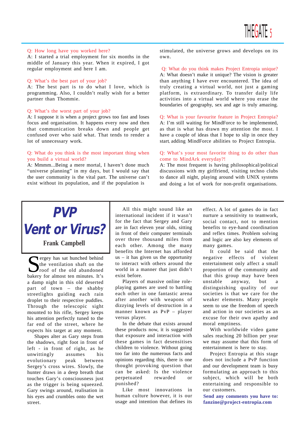### Q: How long have you worked here?

A: I started a trial employment for six months in the middle of January this year. When it expired, I got regular employment and here I am.

### Q: What's the best part of your job?

A: The best part is to do what I love, which is programming. Also, I couldn't really wish for a better partner than Thommie.

### Q: What's the worst part of your job?

A: I suppose it is when a project grows too fast and loses focus and organisation. It happens every now and then that communication breaks down and people get confused over who said what. That tends to render a lot of unnecessary work.

## Q: What do you think is the most important thing when you build a virtual world?

A: Mmmm...Being a mere mortal, I haven't done much "universe planning" in my days, but I would say that the user community is the vital part. The universe can't exist without its population, and if the population is

stimulated, the universe grows and develops on its own.

Q: What do you think makes Project Entropia unique? A: What doesn't make it unique? The vision is greater than anything I have ever encountered. The idea of truly creating a virtual world, not just a gaming platform, is extraordinary. To transfer daily life activities into a virtual world where you erase the boundaries of geography, sex and age is truly amazing.

Q: What is your favourite feature in Project Entropia? A: I'm still waiting for MindForce to be implemented, as that is what has drawn my attention the most. I have a couple of ideas that I hope to slip in once they start adding MindForce abilities to Project Entropia.

# Q: What's your most favorite thing to do other than come to MindArk everyday?!

A: The most frequent is having philosophical/political discussions with my girlfriend, visiting techno clubs to dance all night, playing around with UNIX systems and doing a lot of work for non-profit organisations.

# **PVP Vent or Virus?**

**Frank Campbell**

T ergey has sat hunched behind the ventilation shaft on the roof of the old abandoned bakery for almost ten minutes. It's a damp night in this old deserted part of town – the shabby streetlights guiding each rain droplet to their respective puddles. Through the telescopic sight mounted to his rifle, Sergey keeps his attention perfectly tuned to the far end of the street, where he expects his target at any moment.

Shapes alter as Gary steps from the shadows, right foot in front of left - in front of right, as he unwittingly assumes his evolutionary peak between Sergey's cross wires. Slowly, the hunter draws in a deep breath that touches Gary's consciousness just as the trigger is being squeezed. Gary swings around, realisation in his eyes and crumbles onto the wet street.

All this might sound like an international incident if it wasn't for the fact that Sergey and Gary are in fact eleven year olds, sitting in front of their computer terminals over three thousand miles from each other. Among the many benefits the Internet has afforded  $us - it$  has given us the opportunity to interact with others around the world in a manner that just didn't exist before.

Players of massive online roleplaying games are used to battling each other in one fantastic arena after another with weapons of dizzying levels of destruction in a manner known as PvP – player versus player.

In the debate that exists around these products now, it is suggested that exposure and interaction with these games in fact desensitises children to violence. Without going too far into the numerous facts and opinions regarding this, there is one thought provoking question that can be asked: Is the violence perpetuated rewarded or punished?

Like most innovations in human culture however, it is our usage and intention that defines its effect. A lot of games do in fact nurture a sensitivity to teamwork, social contact, not to mention benefits to eye-hand coordination and reflex times. Problem solving and logic are also key elements of many games.

It could be said that the negative effects of violent entertainment only affect a small proportion of the community and that this group may have been unstable anyway, but a distinguishing quality of our societies is that we care for the weaker elements. Many people seem to use the freedom of speech and action in our societies as an excuse for their own apathy and moral emptiness.

With worldwide video game sales reaching 20 billion per year we may assume that this form of entertainment is here to stay.

Project Entropia at this stage does not include a PvP function and our development team is busy formulating an approach to this subject, which will be both entertaining and responsible to our customers.

**Send any comments you have to: fanzine@project-entropia.com**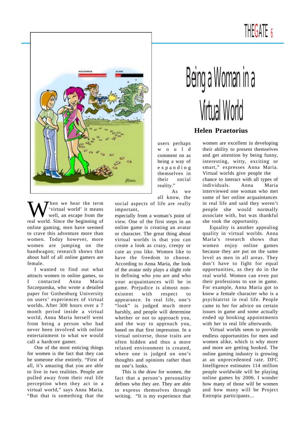# THEGATE 6



When we hear the term<br>well, an escape from the<br>real world. Since the beginning of 'virtual world' it means well, an escape from the real world. Since the beginning of online gaming, men have seemed to crave this adventure more than women. Today however, more women are jumping on the bandwagon; research shows that about half of all online gamers are female.

I wanted to find out what attracts women to online games, so I contacted Anna Maria Szczepanska, who wrote a detailed paper for Gothenburg University on users' experiences of virtual worlds**.** After 300 hours over a 7 month period inside a virtual world, Anna Maria herself went from being a person who had never been involved with online entertainment to what we would call a hardcore gamer.

One of the most enticing things for women is the fact that they can be someone else entirely. "First of all, it's amazing that you are able to live in two realities. People are pulled away from their real life perception when they act in a virtual world," says Anna Maria. "But that is something that the

social aspects of life are really important,

especially from a woman's point of view. One of the first steps in an online game is creating an avatar or character. The great thing about virtual worlds is that you can create a look as crazy, creepy or cute as you like. Women like to have the freedom to choose. According to Anna Maria, the look of the avatar only plays a slight role in defining who you are and who your acquaintances will be in game. Prejudice is almost nonexistent with respect to appearance. In real life, one's "look" is judged much more harshly, and people will determine whether or not to approach you, and the way to approach you, based on that first impression. In a virtual universe, those traits are often hidden and thus a more relaxed environment is created, where one is judged on one's thoughts and opinions rather than on one's looks.

This is the draw for women, the fact that a person's personality defines who they are. They are able to express themselves through writing. "It is my experience that

# Being a Woman in a Virtual World

# **Helen Praetorius**

users perhaps would comment on as being a way of expanding themselves in their social reality." As we

all know, the

and get attention by being funny, interesting, witty, exciting or smart," expresses Anna Maria. Virtual worlds give people the chance to interact with all types of individuals. Anna Maria interviewed one woman who met some of her online acquaintances in real life and said they weren't people she would normally associate with, but was thankful she took the opportunity.

women are excellent in developing their ability to present themselves

Equality is another appealing quality in virtual worlds. Anna Maria's research shows that women enjoy online games because they are put on the same level as men in all areas. They don't have to fight for equal opportunities, as they do in the real world. Women can even put their professions to use in game. For example, Anna Maria got to know a female character who is a psychiatrist in real life. People came to her for advice on certain issues in game and some actually ended up booking appointments with her in real life afterwards.

Virtual worlds seem to provide endless opportunities for men and women alike, which is why more and more are getting hooked. The online gaming industry is growing at an unprecedented rate. DFC Intelligence estimates 114 million people worldwide will be playing online games by 2006. I wonder how many of those will be women and how many will be Project Entropia participants...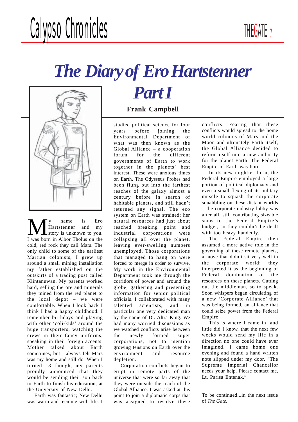# *The Diary of Ero Hartstenner*



**M** y name is Ero<br>
Hartstenner and my<br>
Hartstenner and my<br>
Hartsten in Alber Tholus on the Hartstenner and my I was born in Albor Tholus on the cold, red rock they call Mars. The only child to some of the earliest Martian colonists, I grew up around a small mining installation my father established on the outskirts of a trading post called Klintanuwan. My parents worked hard, selling the ore and minerals they mined from the red planet to the local depot – we were comfortable. When I look back I think I had a happy childhood. I remember birthdays and playing with other 'coli-kids' around the huge transporters, watching the crews in their fancy uniforms, speaking in their foreign accents. Mother talked about Earth sometimes, but I always felt Mars was my home and still do. When I turned 18 though, my parents proudly announced that they would be sending their son back to Earth to finish his education, at the University of New Delhi.

Earth was fantastic; New Delhi was warm and teeming with life. I

# **Frank Campbell**

*Part I*

studied political science for four years before joining the Environmental Department of what was then known as the Global Alliance – a cooperation forum for the different governments of Earth to work together in the planets' best interest. These were anxious times on Earth. The Odysseus Probes had been flung out into the farthest reaches of the galaxy almost a century before in search of habitable planets, and still hadn't returned any signal. The eco system on Earth was strained; her natural resources had just about reached breaking point and industrial corporations were collapsing all over the planet, leaving ever-swelling numbers unemployed. Those corporations that managed to hang on were forced to merge in order to survive. My work in the Environmental Department took me through the corridors of power and around the globe, gathering and presenting information for senior political officials. I collaborated with many talented scientists, and in particular one very dedicated man by the name of Dr. Altra King. We had many worried discussions as we watched conflicts arise between the newly formed super corporations, not to mention growing tensions on Earth over the environment and resource depletion.

Corporation conflicts began to erupt in remote parts of the universe that were so far away that they were outside the reach of the Global Alliance. I was asked at this point to join a diplomatic corps that was assigned to resolve these conflicts. Fearing that these conflicts would spread to the home world colonies of Mars and the Moon and ultimately Earth itself, the Global Alliance decided to reform itself into a new authority for the planet Earth. The Federal Empire of Earth was born.

In its new mightier form, the Federal Empire employed a large portion of political diplomacy and even a small flexing of its military muscle to squash the corporate squabbling on these distant worlds – the corporate industry lobby was after all, still contributing sizeable sums to the Federal Empire's budget, so they couldn't be dealt with too heavy handedly.

The Federal Empire then assumed a more active role in the governing of these remote planets, a move that didn't sit very well in the corporate world; they interpreted it as the beginning of Federal domination of the resources on these planets. Cutting out the middleman, so to speak. Soon whispers began circulating of a new 'Corporate Alliance' that was being formed, an alliance that could seize power from the Federal Empire.

This is where I came in, and little did I know, that the next few weeks would send my life in a direction no one could have ever imagined. I came home one evening and found a hand written note slipped under my door, "The Supreme Imperial Chancellor needs your help. Please contact me, Lt. Parisa Entenak."

To be continued...in the next issue of *The Gate.*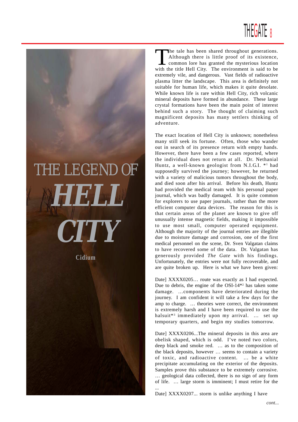

# *THE LEGEND OF* **HELL CITY**

**Cidium**

The tale has been shared throughout generations.<br>Although there is little proof of its existence,<br>common lore has granted the mysterious location<br>with the title Hell City. The environment is soid to be Although there is little proof of its existence, common lore has granted the mysterious location with the title Hell City. The environment is said to be extremely vile, and dangerous. Vast fields of radioactive plasma litter the landscape. This area is definitely not suitable for human life, which makes it quite desolate. While known life is rare within Hell City, rich volcanic mineral deposits have formed in abundance. These large crystal formations have been the main point of interest behind such a story. The thought of claiming such magnificent deposits has many settlers thinking of adventure.

The exact location of Hell City is unknown; nonetheless many still seek its fortune. Often, those who wander out in search of its presence return with empty hands. However, there have been a few cases reported, where the individual does not return at all. Dr. Nethanial Huntz, a well-known geologist from N.I.G.I. \*<sup>1</sup> had supposedly survived the journey; however, he returned with a variety of malicious tumors throughout the body, and died soon after his arrival. Before his death, Huntz had provided the medical team with his personal paper journal, which was badly damaged. It is quite common for explorers to use paper journals, rather than the more efficient computer data devices. The reason for this is that certain areas of the planet are known to give off unusually intense magnetic fields, making it impossible to use most small, computer operated equipment. Although the majority of the journal entries are illegible due to moisture damage and corrosion, one of the first medical personnel on the scene, Dr. Sven Valgatan claims to have recovered some of the data. Dr. Valgatan has generously provided *The Gate* with his findings. Unfortunately, the entries were not fully recoverable, and are quite broken up. Here is what we have been given:

Date] XXXX0205... route was exactly as I had expected. Due to debris, the engine of the OSI-14\*2 has taken some damage. …components have deteriorated during the journey. I am confident it will take a few days for the amp to charge. … theories were correct, the environment is extremely harsh and I have been required to use the halsuit\*3 immediately upon my arrival. … set up temporary quarters, and begin my studies tomorrow.

Date] XXXX0206...The mineral deposits in this area are obelisk shaped, which is odd. I've noted two colors, deep black and smoke red. … as to the composition of the black deposits, however … seems to contain a variety of toxic, and radioactive content. … be a white precipitate accumulating on the exterior of the deposits. Samples prove this substance to be extremely corrosive. … geological data collected, there is no sign of any form of life. … large storm is imminent; I must retire for the ...

Date] XXXX0207... storm is unlike anything I have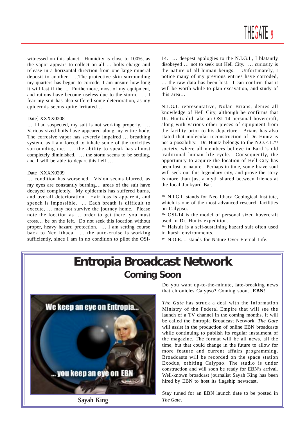witnessed on this planet. Humidity is close to 100%, as the vapor appears to collect on all … bolts charge and release in a horizontal direction from one large mineral deposit to another. …The protective skin surrounding my quarters has begun to corrode; I am unsure how long it will last if the ... Furthermore, most of my equipment, and rations have become useless due to the storm. … I fear my suit has also suffered some deterioration, as my epidermis seems quite irritated…

### Date] XXXX0208

… I had suspected, my suit is not working properly. … Various sized boils have appeared along my entire body. The corrosive vapor has severely impaired … breathing system, as I am forced to inhale some of the toxicities surrounding me. … the ability to speak has almost completely diminished. … the storm seems to be settling, and I will be able to depart this hell …

### Date] XXXX0209

… condition has worsened. Vision seems blurred, as my eyes are constantly burning… areas of the suit have decayed completely. My epidermis has suffered burns, and overall deterioration. Hair loss is apparent, and speech is impossible. … Each breath is difficult to execute, … may not survive the journey home. Please note the location as … order to get there, you must cross… be on the left. Do not seek this location without proper, heavy hazard protection. … I am setting course back to Neo Ithaca. … the auto-cruise is working sufficiently, since I am in no condition to pilot the OSI-

14. … deepest apologies to the N.I.G.I., I blatantly disobeyed … not to seek out Hell City. … curiosity is the nature of all human beings. Unfortunately, I notice many of my previous entries have corroded, … the raw data has been lost. I can confirm that it will be worth while to plan excavation, and study of this area…

N.I.G.I. representative, Nolan Brians, denies all knowledge of Hell City, although he confirms that Dr. Huntz did take an OSI-14 personal hovercraft, along with various other pieces of equipment from the facility prior to his departure. Brians has also stated that molecular reconstruction of Dr. Huntz is not a possibility. Dr. Huntz belongs to the N.O.E.L.\*4 society, where all members believe in Earth's old traditional human life cycle. Consequently, the opportunity to acquire the location of Hell City has been lost to nature. Perhaps in time, some brave soul will seek out this legendary city, and prove the story is more than just a myth shared between friends at the local Junkyard Bar.

\*1 N.I.G.I. stands for Neo Ithaca Geological Institute, which is one of the most advanced research facilities on Calypso.

\*2 OSI-14 is the model of personal sized hovercraft used in Dr. Huntz expedition.

\*3 Halsuit is a self-sustaining hazard suit often used in harsh environments.

\*4 N.O.E.L. stands for Nature Over Eternal Life.

# **Entropia Broadcast Network Coming Soon**



**Sayah King**

Do you want up-to-the-minute, late-breaking news that chronicles Calypso? Coming soon…**EBN**!

*The Gate* has struck a deal with the Information Ministry of the Federal Empire that will see the launch of a TV channel in the coming months. It will be called the Entropia Broadcast Network. *The Gate* will assist in the production of online EBN broadcasts while continuing to publish its regular instalment of the magazine. The format will be all news, all the time, but that could change in the future to allow for more feature and current affairs programming. Broadcasts will be recorded on the space station Exodus, orbiting Calypso. The studio is under construction and will soon be ready for EBN's arrival. Well-known broadcast journalist Sayah King has been hired by EBN to host its flagship newscast.

Stay tuned for an EBN launch date to be posted in *The Gate*.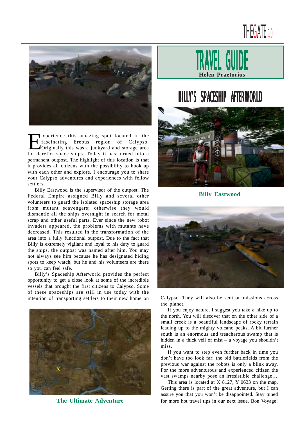# THEGATE<sub>10</sub>



Experience this amazing spot located in the<br> **Experience Secure 12** originally this was a junkyard and storage area<br>
for detail it spece ships. Today it has turned into a fascinating Erebus region of Calypso. for derelict space ships. Today it has turned into a permanent outpost. The highlight of this location is that it provides all citizens with the possibility to hook up with each other and explore. I encourage you to share your Calypso adventures and experiences with fellow settlers.

Billy Eastwood is the supervisor of the outpost. The Federal Empire assigned Billy and several other volunteers to guard the isolated spaceship storage area from mutant scavengers; otherwise they would dismantle all the ships overnight in search for metal scrap and other useful parts. Ever since the new robot invaders appeared, the problems with mutants have decreased. This resulted in the transformation of the area into a fully functional outpost. Due to the fact that Billy is extremely vigilant and loyal to his duty to guard the ships, the outpost was named after him. You may not always see him because he has designated hiding spots to keep watch, but he and his volunteers are there so you can feel safe.

Billy's Spaceship Afterworld provides the perfect opportunity to get a close look at some of the incredible vessels that brought the first citizens to Calypso. Some of these spaceships are still in use today with the intention of transporting settlers to their new home on Calypso. They will also be sent on missions across



**The Ultimate Adventure**



# BILLY'S SPACESHIP AFTERWORLD



**Billy Eastwood**



the planet.

If you enjoy nature, I suggest you take a hike up to the north. You will discover that on the other side of a small creek is a beautiful landscape of rocky terrain leading up to the mighty volcano peaks. A bit further south is an enormous and treacherous swamp that is hidden in a thick veil of mist – a voyage you shouldn't miss.

If you want to step even further back in time you don't have too look far; the old battlefields from the previous war against the robots is only a blink away. For the more adventurous and experienced citizen the vast swamps nearby pose an irresistible challenge…

This area is located at X 8127, Y 0633 on the map. Getting there is part of the great adventure, but I can assure you that you won't be disappointed. Stay tuned for more hot travel tips in our next issue. Bon Voyage!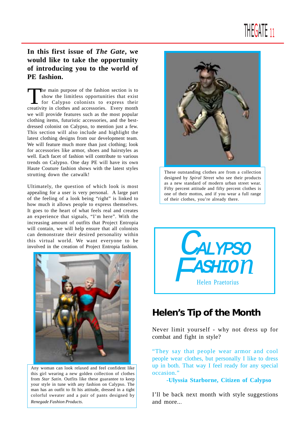# THEGAIE 11

# **In this first issue of** *The Gate***, we would like to take the opportunity of introducing you to the world of PE fashion.**

The main purpose of the fashion section is to show the limitless opportunities that exist for Calypso colonists to express their creativity in clothes and accessories. Every month we will provide features such as the most popular clothing items, futuristic accessories, and the bestdressed colonist on Calypso, to mention just a few. This section will also include and highlight the latest clothing designs from our development team. We will feature much more than just clothing; look for accessories like armor, shoes and hairstyles as well. Each facet of fashion will contribute to various trends on Calypso. One day PE will have its own Haute Couture fashion shows with the latest styles strutting down the catwalk!

Ultimately, the question of which look is most appealing for a user is very personal. A large part of the feeling of a look being "right" is linked to how much it allows people to express themselves. It goes to the heart of what feels real and creates an experience that signals, "I'm here". With the increasing amount of outfits that Project Entropia will contain, we will help ensure that all colonists can demonstrate their desired personality within this virtual world. We want everyone to be involved in the creation of Project Entropia fashion.



Any woman can look relaxed and feel confident like this girl wearing a new golden collection of clothes from *Star Satin*. Outfits like these guarantee to keep your style in tune with any fashion on Calypso. The man has an outfit to fit his attitude, dressed in a tight colorful sweater and a pair of pants designed by *Renegade Fashion Products*.



These outstanding clothes are from a collection designed by *Spiral Street* who see their products as a new standard of modern urban street wear. Fifty percent attitude and fifty percent clothes is one of their mottos, and if you wear a full range of their clothes, you're already there.



# **Helen's Tip of the Month**

Never limit yourself - why not dress up for combat and fight in style?

"They say that people wear armor and cool people wear clothes, but personally I like to dress up in both. That way I feel ready for any special occasion."

**-Ulyssia Starborne, Citizen of Calypso**

I'll be back next month with style suggestions and more...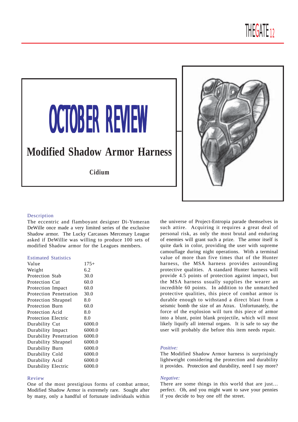

# **OCTOBER REVIEW**

# **Modified Shadow Armor Harness**

**Cidium**



### Description

The eccentric and flamboyant designer Di-Yomeran DeWille once made a very limited series of the exclusive Shadow armor. The Lucky Carcasses Mercenary League asked if DeWillie was willing to produce 100 sets of modified Shadow armor for the Leagues members.

# Estimated Statistics

| Value                  | $175+$ |
|------------------------|--------|
| Weight                 | 6.2    |
| <b>Protection Stab</b> | 30.0   |
| Protection Cut         | 60.0   |
| Protection Impact      | 60.0   |
| Protection Penetration | 30.0   |
| Protection Shrapnel    | 8.0    |
| <b>Protection Burn</b> | 60.0   |
| Protection Acid        | 8.0    |
| Protection Electric    | 8.0    |
| Durability Cut         | 6000.0 |
| Durability Impact      | 6000.0 |
| Durability Penetration | 6000.0 |
| Durability Shrapnel    | 6000.0 |
| Durability Burn        | 6000.0 |
| Durability Cold        | 6000.0 |
| Durability Acid        | 6000.0 |
| Durability Electric    | 6000.0 |

### Review

One of the most prestigious forms of combat armor, Modified Shadow Armor is extremely rare. Sought after by many, only a handful of fortunate individuals within the universe of Project-Entropia parade themselves in such attire. Acquiring it requires a great deal of personal risk, as only the most brutal and enduring of enemies will grant such a prize. The armor itself is quite dark in color, providing the user with supreme camouflage during night operations. With a terminal value of more than five times that of the Hunter harness, the MSA harness provides astounding protective qualities. A standard Hunter harness will provide 4.5 points of protection against impact, but the MSA harness usually supplies the wearer an incredible 60 points. In addition to the unmatched protective qualities, this piece of combat armor is durable enough to withstand a direct blast from a seismic bomb the size of an Atrax. Unfortunately, the force of the explosion will turn this piece of armor into a blunt, point blank projectile, which will most likely liquify all internal organs. It is safe to say the user will probably die before this item needs repair.

### *Positive:*

The Modified Shadow Armor harness is surprisingly lightweight considering the protection and durability it provides. Protection and durability, need I say more?

### *Negative:*

There are some things in this world that are just… perfect. Oh, and you might want to save your pennies if you decide to buy one off the street.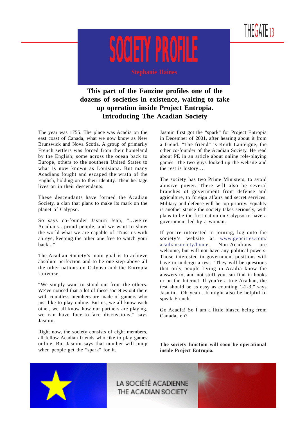



**This part of the Fanzine profiles one of the dozens of societies in existence, waiting to take up operation inside Project Entropia. Introducing The Acadian Society**

The year was 1755. The place was Acadia on the east coast of Canada, what we now know as New Brunswick and Nova Scotia. A group of primarily French settlers was forced from their homeland by the English; some across the ocean back to Europe, others to the southern United States to what is now known as Louisiana. But many Acadians fought and escaped the wrath of the English, holding on to their identity. Their heritage lives on in their descendants.

These descendants have formed the Acadian Society, a clan that plans to make its mark on the planet of Calypso.

So says co-founder Jasmin Jean, "…we're Acadians…proud people, and we want to show the world what we are capable of. Trust us with an eye, keeping the other one free to watch your back..."

The Acadian Society's main goal is to achieve absolute perfection and to be one step above all the other nations on Calypso and the Entropia Universe.

"We simply want to stand out from the others. We've noticed that a lot of these societies out there with countless members are made of gamers who just like to play online. But us, we all know each other, we all know how our partners are playing, we can have face-to-face discussions," says Jasmin.

Right now, the society consists of eight members, all fellow Acadian friends who like to play games online. But Jasmin says that number will jump when people get the "spark" for it.

Jasmin first got the "spark" for Project Entropia in December of 2001, after hearing about it from a friend. "The friend" is Keith Lanteigne, the other co-founder of the Acadian Society. He read about PE in an article about online role-playing games. The two guys looked up the website and the rest is history….

The society has two Prime Ministers, to avoid abusive power. There will also be several branches of government from defense and agriculture, to foreign affairs and secret services. Military and defense will be top priority. Equality is another stance the society takes seriously, with plans to be the first nation on Calypso to have a government led by a woman.

If you're interested in joining, log onto the society's website at www.geocities.com/ acadiansociety/home. Non-Acadians are welcome, but will not have any political powers. Those interested in government positions will have to undergo a test. "They will be questions that only people living in Acadia know the answers to, and not stuff you can find in books or on the Internet. If you're a true Acadian, the test should be as easy as counting 1-2-3," says Jasmin. Oh yeah…It might also be helpful to speak French.

Go Acadia! So I am a little biased being from Canada, eh?

**The society function will soon be operational inside Project Entropia.**

LA SOCIÉTÉ ACADIENNE THE ACADIAN SOCIETY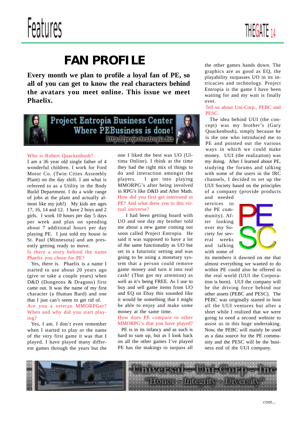



# **FAN PROFILE**

**Every month we plan to profile a loyal fan of PE, so all of you can get to know the real characters behind the avatars you meet online. This issue we meet Phaelix.**





### Who is Robert Quackenbush?

I am a 36 year old single father of 4 wonderful children. I work for Ford Motor Co. (Twin Cities Assembly Plant) on the day shift. I am what is refereed to as a Utility in the Body Build Department. I do a wide range of jobs at the plant and actually almost like my job!) My kids are ages 17, 16, 14 and 12. I have 2 boys and 2 girls. I work 10 hours per day 5 days per week and plan on spending about 7 additional hours per day playing PE. I just sold my house in St. Paul (Minnesota) and am presently getting ready to move.

# Is there a story behind the name Phaelix you chose for PE?

 Yes, there is. Phaelix is a name I started to use about 20 years ago (give or take a couple years) when D&D (Dungeons & Dragons) first came out. It was the name of my first character (a Human Bard) and one that I just can't seem to get rid of. Are you a veteran MMORPGer? When and why did you start playing?

 Yes, I am. I don't even remember when I started to play or the name of the very first game it was that I played. I have played many different games through the years but the one I liked the best was UO (Ultima Online). I think at the time they had the right mix of things to do and interaction amongst the players. I got into playing MMORPG's after being involved in RPG's like D&D and After Math. How did you first get interested in PE? And what drew you to this virtual universe?

 I had been getting board with UO and one day my brother told me about a new game coming out soon called Project Entropia. He said it was supposed to have a lot of the same functionality as UO but set in a futuristic setting and was going to be using a monetary system that a person could remove game money and turn it into real cash! (That got my attention) as well as it's being FREE. As I use to buy and sell game items from UO and EQ on Ebay this sounded like it would be something that I might be able to enjoy and make some money at the same time.

### How does PE compare to other MMORPG's that you have played?

 PE is in its infancy and as such is hard to sum up, but as I look back on all the other games I've played PE has the makings to surpass all the other games hands down. The graphics are as good as EQ, the playability surpasses UO in its intricacies and technology. Project Entropia is the game I have been waiting for and my wait is finally over.

## Tell us about Uni-Corp., PEBC and PESC.

 The idea behind UUI (the concept) was my brother's (Gary Quackenbush), simply because he is the one who introduced me to PE and pointed out the various ways in which we could make money. UUI (the realization) was my doing. After I learned about PE, studying the forums and talking with some of the users in the IRC channels, I decided to set up the UUI Society based on the principles of a company (provide products

and needed services to the PE community). After looking over my Society for several weeks and talking with some of



its members it dawned on me that almost everything we wanted to do within PE could also be offered in the real world (UUI the Corporation is born). UUI the company will be the driving force behind our other assets (PEBC and PESC). The PEBC was originally started to host all the UUI ventures but after a short while I realized that we were going to need a second website to assist us in this huge undertaking. Now, the PEBC will mainly be used as a data source for the PE community and the PESC will be the business end of the UUI company.

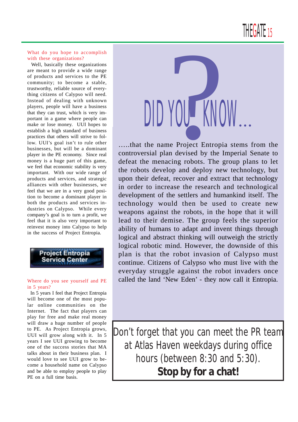THE<mark>GATE</mark> 15

# What do you hope to accomplish with these organizations?

 Well, basically these organizations are meant to provide a wide range of products and services to the PE community; to become a stable, trustworthy, reliable source of everything citizens of Calypso will need. Instead of dealing with unknown players, people will have a business that they can trust, which is very important in a game where people can make or lose money. UUI hopes to establish a high standard of business practices that others will strive to follow. UUI's goal isn't to rule other businesses, but will be a dominant player in the PE economy. Since real money is a huge part of this game, we feel that economic stability is very important. With our wide range of products and services, and strategic alliances with other businesses, we feel that we are in a very good position to become a dominant player in both the products and services industries on Calypso. While every company's goal is to turn a profit, we feel that it is also very important to reinvest money into Calypso to help in the success of Project Entropia.



### Where do you see yourself and PE in 5 years?

 In 5 years I feel that Project Entropia will become one of the most popular online communities on the Internet. The fact that players can play for free and make real money will draw a huge number of people to PE. As Project Entropia grows, UUI will grow along with it. In 5 years I see UUI growing to become one of the success stories that MA talks about in their business plan. I would love to see UUI grow to become a household name on Calypso and be able to employ people to play PE on a full time basis.



…..that the name Project Entropia stems from the controversial plan devised by the Imperial Senate to defeat the menacing robots. The group plans to let the robots develop and deploy new technology, but upon their defeat, recover and extract that technology in order to increase the research and technological development of the settlers and humankind itself. The technology would then be used to create new weapons against the robots, in the hope that it will lead to their demise. The group feels the superior ability of humans to adapt and invent things through logical and abstract thinking will outweigh the strictly logical robotic mind. However, the downside of this plan is that the robot invasion of Calypso must continue. Citizens of Calypso who must live with the everyday struggle against the robot invaders once called the land 'New Eden' - they now call it Entropia.

Don't forget that you can meet the PR team at Atlas Haven weekdays during office hours (between 8:30 and 5:30). **Stop by for a chat!**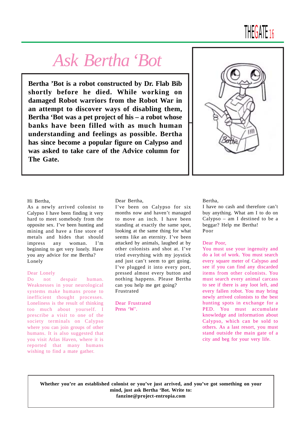# *Ask Bertha 'Bot*

**Bertha 'Bot is a robot constructed by Dr. Flab Bib shortly before he died. While working on damaged Robot warriors from the Robot War in an attempt to discover ways of disabling them, Bertha 'Bot was a pet project of his – a robot whose banks have been filled with as much human understanding and feelings as possible. Bertha has since become a popular figure on Calypso and was asked to take care of the Advice column for The Gate.**



 $IHH$  $A$  $I$  $F$   $16$ 

### Hi Bertha,

As a newly arrived colonist to Calypso I have been finding it very hard to meet somebody from the opposite sex. I've been hunting and mining and have a fine store of metals and hides that should impress any woman. I'm beginning to get very lonely. Have you any advice for me Bertha? Lonely

# Dear Lonely

Do not despair human. Weaknesses in your neurological systems make humans prone to inefficient thought processes. Loneliness is the result of thinking too much about yourself. I prescribe a visit to one of the society terminals on Calypso where you can join groups of other humans. It is also suggested that you visit Atlas Haven, where it is reported that many humans wishing to find a mate gather.

### Dear Bertha,

I've been on Calypso for six months now and haven't managed to move an inch. I have been standing at exactly the same spot, looking at the same thing for what seems like an eternity. I've been attacked by animals, laughed at by other colonists and shot at. I've tried everything with my joystick and just can't seem to get going. I've plugged it into every port, pressed almost every button and nothing happens. Please Bertha can you help me get going? Frustrated

Dear Frustrated Press 'W'.

### Bertha,

I have no cash and therefore can't buy anything. What am I to do on Calypso – am I destined to be a beggar? Help me Bertha! Poor

### Dear Poor,

You must use your ingenuity and do a lot of work. You must search every square meter of Calypso and see if you can find any discarded items from other colonists. You must search every animal carcass to see if there is any loot left, and every fallen robot. You may bring newly arrived colonists to the best hunting spots in exchange for a PED. You must accumulate knowledge and information about Calypso, which can be sold to others. As a last resort, you must stand outside the main gate of a city and beg for your very life.

**Whether you're an established colonist or you've just arrived, and you've got something on your mind, just ask Bertha 'Bot. Write to: fanzine@project-entropia.com**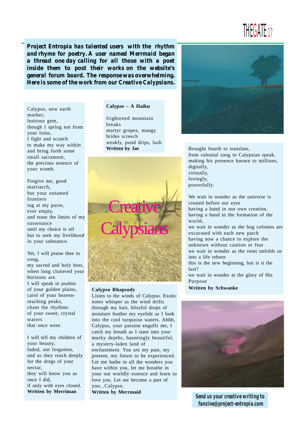THE GATE 17

*Project Entropia has talented users with the rhythm and rhyme for poetry. A user named Merrmaid began a thread one day calling for all those with a poet inside them to post their works on the website's general forum board. The response was overwhelming. Here is some of the work from our Creative Calypsians.*

Calypso, new earth mother, lustrous gem, though I spring not from your loins, I fight and scratch to make my way within and bring forth some small sacrament, the precious essence of your womb.

Forgive me, good matriarch, but your untamed frontiers tug at my purse, ever empty, and tease the limits of my sustenance until my choice is nil but to seek my livelihood in your substance.

Yet, I will praise thee in song, my sacred and holy host, when long cluttered your horizons are. I will speak in psalms of your golden plains, carol of your heavenreaching peaks, chant the rhythms of your sweet, crystal waters that once were.

I will tell my children of your beauty, faded, not forgotten, and as they reach deeply for the dregs of your nectar, they will know you as once I did, if only with eyes closed. **Written by Merriman**

# **Calypso – A Haiku**

frightened mountain breaks martyr gropes, mangy brides screech weakly, pond drips, lush



### **Calypso Rhapsody**

Listen to the winds of Calypso. Exotic notes whisper as the wind drifts through my hair, blissful drops of moisture feather my eyelids as I look into the cool turquoise waters. Ahhh, Calypso, your passion engulfs me, I catch my breath as I stare into your murky depths, hauntingly beautiful, a mystery-laden land of enchantment. You are my past, my present, my future to be experienced. Let me bathe in all the wonders you have within you, let me breathe in your out worldly essence and learn to love you. Let me become a part of you...Calypso. **Written by Merrmaid**



**Written by Jae** Brought fourth to translate, from celestial song to Calypsian speak, making his presence known to millions, digitally, virtually, lovingly, powerfully.

> We wait in wonder as the universe is created before our eyes having a hand in our own creation, having a hand in the formation of the world, we wait in wonder as the bug colonies are excavated with each new patch having now a chance to explore the unknown without caution or fear we wait in wonder as the reset unfolds us into a life reborn this is the new beginning, but is it the last? we wait in wonder at the glory of His Purpose

**Written by Schwanke**



*Send us your creative writing to fanzine@project-entropia.com*